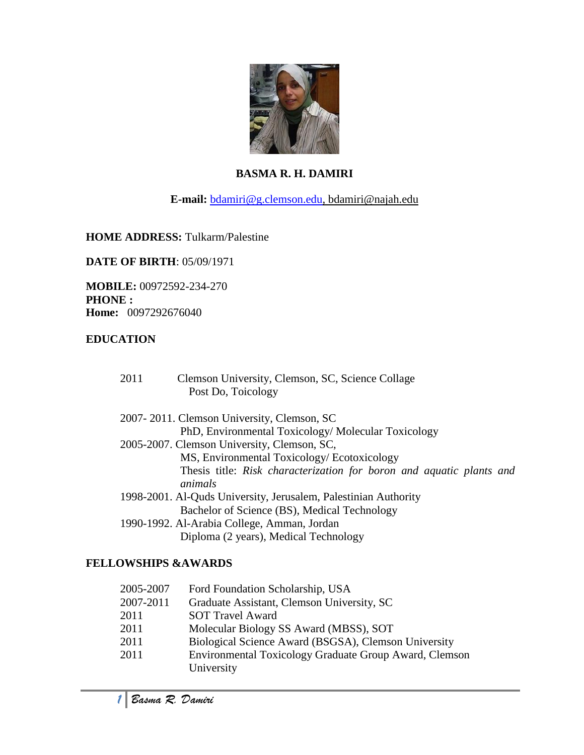

# **BASMA R. H. DAMIRI**

**E-mail:** [bdamiri@g.clemson.edu,](mailto:bdamiri@g.clemson.edu) bdamiri@najah.edu

### **HOME ADDRESS:** Tulkarm/Palestine

**DATE OF BIRTH**: 05/09/1971

**MOBILE:** 00972592-234-270 **PHONE : Home:** 0097292676040

### **EDUCATION**

| 2011                                                            | Clemson University, Clemson, SC, Science Collage<br>Post Do, Toicology          |
|-----------------------------------------------------------------|---------------------------------------------------------------------------------|
|                                                                 | 2007-2011. Clemson University, Clemson, SC                                      |
|                                                                 | PhD, Environmental Toxicology/Molecular Toxicology                              |
|                                                                 | 2005-2007. Clemson University, Clemson, SC,                                     |
|                                                                 | MS, Environmental Toxicology/Ecotoxicology                                      |
|                                                                 | Thesis title: Risk characterization for boron and aquatic plants and<br>animals |
| 1998-2001. Al-Quds University, Jerusalem, Palestinian Authority |                                                                                 |
|                                                                 | Bachelor of Science (BS), Medical Technology                                    |
|                                                                 | 1990-1992. Al-Arabia College, Amman, Jordan                                     |
|                                                                 | Diploma (2 years), Medical Technology                                           |

### **FELLOWSHIPS &AWARDS**

| 2005-2007 | Ford Foundation Scholarship, USA                                            |
|-----------|-----------------------------------------------------------------------------|
| 2007-2011 | Graduate Assistant, Clemson University, SC                                  |
| 2011      | <b>SOT Travel Award</b>                                                     |
| 2011      | Molecular Biology SS Award (MBSS), SOT                                      |
| 2011      | Biological Science Award (BSGSA), Clemson University                        |
| 2011      | <b>Environmental Toxicology Graduate Group Award, Clemson</b><br>University |
|           |                                                                             |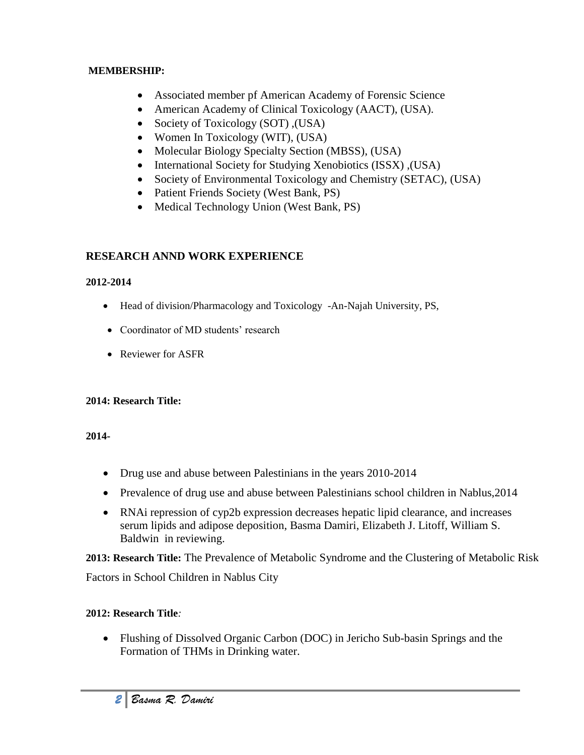#### **MEMBERSHIP:**

- Associated member pf American Academy of Forensic Science
- American Academy of Clinical Toxicology (AACT), (USA).
- Society of Toxicology (SOT), (USA)
- Women In Toxicology (WIT), (USA)
- Molecular Biology Specialty Section (MBSS), (USA)
- International Society for Studying Xenobiotics (ISSX), (USA)
- Society of Environmental Toxicology and Chemistry (SETAC), (USA)
- Patient Friends Society (West Bank, PS)
- Medical Technology Union (West Bank, PS)

# **RESEARCH ANND WORK EXPERIENCE**

## **2012-2014**

- Head of division/Pharmacology and Toxicology -An-Najah University, PS,
- Coordinator of MD students' research
- Reviewer for ASFR

# **2014: Research Title:**

# **2014-**

- Drug use and abuse between Palestinians in the years 2010-2014
- Prevalence of drug use and abuse between Palestinians school children in Nablus, 2014
- RNAi repression of cyp2b expression decreases hepatic lipid clearance, and increases serum lipids and adipose deposition, Basma Damiri, Elizabeth J. Litoff, William S. Baldwin in reviewing.

**2013: Research Title:** The Prevalence of Metabolic Syndrome and the Clustering of Metabolic Risk

Factors in School Children in Nablus City

# **2012: Research Title***:*

 Flushing of Dissolved Organic Carbon (DOC) in Jericho Sub-basin Springs and the Formation of THMs in Drinking water.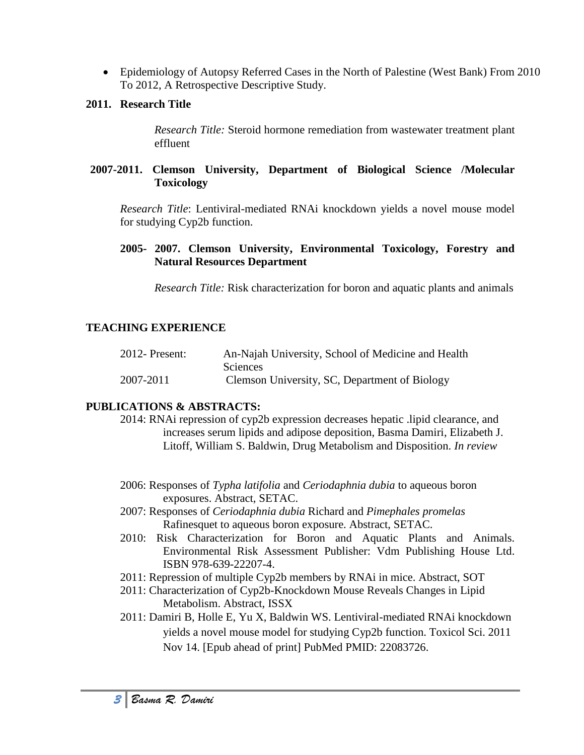Epidemiology of Autopsy Referred Cases in the North of Palestine (West Bank) From 2010 To 2012, A Retrospective Descriptive Study.

#### **2011. Research Title**

*Research Title:* Steroid hormone remediation from wastewater treatment plant effluent

#### **2007-2011. Clemson University, Department of Biological Science /Molecular Toxicology**

*Research Title*: Lentiviral-mediated RNAi knockdown yields a novel mouse model for studying Cyp2b function.

**2005- 2007. Clemson University, Environmental Toxicology, Forestry and Natural Resources Department** 

*Research Title:* Risk characterization for boron and aquatic plants and animals

## **TEACHING EXPERIENCE**

| $2012$ - Present: | An-Najah University, School of Medicine and Health |
|-------------------|----------------------------------------------------|
|                   | Sciences                                           |
| 2007-2011         | Clemson University, SC, Department of Biology      |

### **PUBLICATIONS & ABSTRACTS:**

- 2014: RNAi repression of cyp2b expression decreases hepatic .lipid clearance, and increases serum lipids and adipose deposition, Basma Damiri, Elizabeth J. Litoff, William S. Baldwin, Drug Metabolism and Disposition. *In review*
- 2006: Responses of *Typha latifolia* and *Ceriodaphnia dubia* to aqueous boron exposures. Abstract, SETAC.
- 2007: Responses of *Ceriodaphnia dubia* Richard and *Pimephales promelas*  Rafinesquet to aqueous boron exposure. Abstract, SETAC.
- 2010: Risk Characterization for Boron and Aquatic Plants and Animals. Environmental Risk Assessment Publisher: Vdm Publishing House Ltd. ISBN 978-639-22207-4.
- 2011: Repression of multiple Cyp2b members by RNAi in mice. Abstract, SOT
- 2011: Characterization of Cyp2b-Knockdown Mouse Reveals Changes in Lipid Metabolism. Abstract, ISSX
- 2011: Damiri B, Holle E, Yu X, Baldwin WS. Lentiviral-mediated RNAi knockdown yields a novel mouse model for studying Cyp2b function. Toxicol Sci. 2011 Nov 14. [Epub ahead of print] PubMed PMID: 22083726.